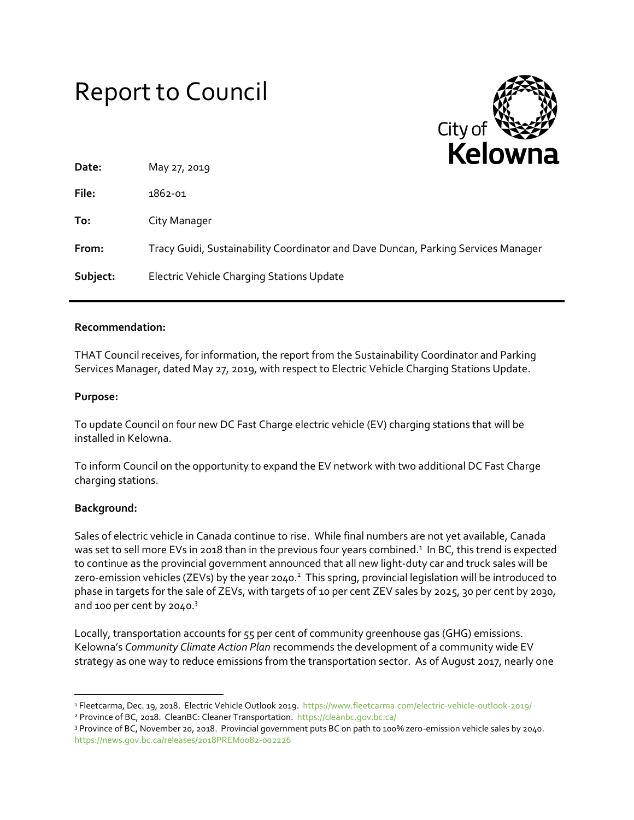# Report to Council



| Date:    | May 27, 2019                                                                      |
|----------|-----------------------------------------------------------------------------------|
| File:    | 1862-01                                                                           |
| To:      | City Manager                                                                      |
| From:    | Tracy Guidi, Sustainability Coordinator and Dave Duncan, Parking Services Manager |
| Subject: | Electric Vehicle Charging Stations Update                                         |

## **Recommendation:**

THAT Council receives, for information, the report from the Sustainability Coordinator and Parking Services Manager, dated May 27, 2019, with respect to Electric Vehicle Charging Stations Update.

#### **Purpose:**

To update Council on four new DC Fast Charge electric vehicle (EV) charging stations that will be installed in Kelowna.

To inform Council on the opportunity to expand the EV network with two additional DC Fast Charge charging stations.

## **Background:**

 $\overline{a}$ 

Sales of electric vehicle in Canada continue to rise. While final numbers are not yet available, Canada was set to sell more EVs in 2018 than in the previous four years combined.<sup>1</sup> In BC, this trend is expected to continue as the provincial government announced that all new light-duty car and truck sales will be zero-emission vehicles (ZEVs) by the year 2040.<sup>2</sup> This spring, provincial legislation will be introduced to phase in targets for the sale of ZEVs, with targets of 10 per cent ZEV sales by 2025, 30 per cent by 2030, and 100 per cent by 2040.<sup>3</sup>

Locally, transportation accounts for 55 per cent of community greenhouse gas (GHG) emissions. Kelowna's *Community Climate Action Plan* recommends the development of a community wide EV strategy as one way to reduce emissions from the transportation sector. As of August 2017, nearly one

<sup>&</sup>lt;sup>1</sup> Fleetcarma, Dec. 19, 2018. Electric Vehicle Outlook 2019. <https://www.fleetcarma.com/electric-vehicle-outlook-2019/> <sup>2</sup> Province of BC, 2018. CleanBC: Cleaner Transportation.<https://cleanbc.gov.bc.ca/>

<sup>3</sup> Province of BC, November 20, 2018. Provincial government puts BC on path to 100% zero-emission vehicle sales by 2040. <https://news.gov.bc.ca/releases/2018PREM0082-002226>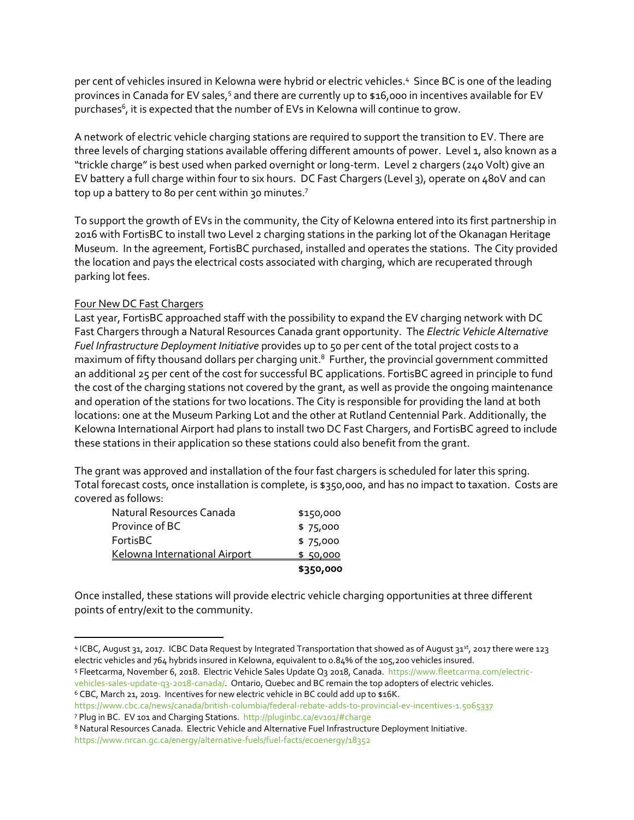per cent of vehicles insured in Kelowna were hybrid or electric vehicles. <sup>4</sup> Since BC is one of the leading provinces in Canada for EV sales,<sup>5</sup> and there are currently up to \$16,000 in incentives available for EV purchases<sup>6</sup>, it is expected that the number of EVs in Kelowna will continue to grow.

A network of electric vehicle charging stations are required to support the transition to EV. There are three levels of charging stations available offering different amounts of power. Level 1, also known as a "trickle charge" is best used when parked overnight or long-term. Level 2 chargers (240 Volt) give an EV battery a full charge within four to six hours. DC Fast Chargers (Level 3), operate on 480V and can top up a battery to 80 per cent within 30 minutes.<sup>7</sup>

To support the growth of EVs in the community, the City of Kelowna entered into its first partnership in 2016 with FortisBC to install two Level 2 charging stations in the parking lot of the Okanagan Heritage Museum. In the agreement, FortisBC purchased, installed and operates the stations. The City provided the location and pays the electrical costs associated with charging, which are recuperated through parking lot fees.

## Four New DC Fast Chargers

 $\overline{\phantom{a}}$ 

Last year, FortisBC approached staff with the possibility to expand the EV charging network with DC Fast Chargers through a Natural Resources Canada grant opportunity. The *Electric Vehicle Alternative Fuel Infrastructure Deployment Initiative* provides up to 50 per cent of the total project costs to a maximum of fifty thousand dollars per charging unit.<sup>8</sup> Further, the provincial government committed an additional 25 per cent of the cost for successful BC applications. FortisBC agreed in principle to fund the cost of the charging stations not covered by the grant, as well as provide the ongoing maintenance and operation of the stations for two locations. The City is responsible for providing the land at both locations: one at the Museum Parking Lot and the other at Rutland Centennial Park. Additionally, the Kelowna International Airport had plans to install two DC Fast Chargers, and FortisBC agreed to include these stations in their application so these stations could also benefit from the grant.

The grant was approved and installation of the four fast chargers is scheduled for later this spring. Total forecast costs, once installation is complete, is \$350,000, and has no impact to taxation. Costs are covered as follows:

|                               | \$350,000 |
|-------------------------------|-----------|
| Kelowna International Airport | \$5,0000  |
| FortisBC                      | \$75,000  |
| Province of BC                | \$75,000  |
| Natural Resources Canada      | \$150,000 |

Once installed, these stations will provide electric vehicle charging opportunities at three different points of entry/exit to the community.

<sup>4</sup> ICBC, August 31, 2017. ICBC Data Request by Integrated Transportation that showed as of August 31st, 2017 there were 123 electric vehicles and 764 hybrids insured in Kelowna, equivalent to 0.84% of the 105,200 vehicles insured.

<sup>5</sup> Fleetcarma, November 6, 2018. Electric Vehicle Sales Update Q3 2018, Canada. [https://www.fleetcarma.com/electric](https://www.fleetcarma.com/electric-vehicles-sales-update-q3-2018-canada/)[vehicles-sales-update-q3-2018-canada/.](https://www.fleetcarma.com/electric-vehicles-sales-update-q3-2018-canada/) Ontario, Quebec and BC remain the top adopters of electric vehicles.

<sup>6</sup> CBC, March 21, 2019. Incentives for new electric vehicle in BC could add up to \$16K.

<https://www.cbc.ca/news/canada/british-columbia/federal-rebate-adds-to-provincial-ev-incentives-1.5065337> <sup>7</sup> Plug in BC. EV 101 and Charging Stations.<http://pluginbc.ca/ev101/#charge>

<sup>8</sup> Natural Resources Canada. Electric Vehicle and Alternative Fuel Infrastructure Deployment Initiative. <https://www.nrcan.gc.ca/energy/alternative-fuels/fuel-facts/ecoenergy/18352>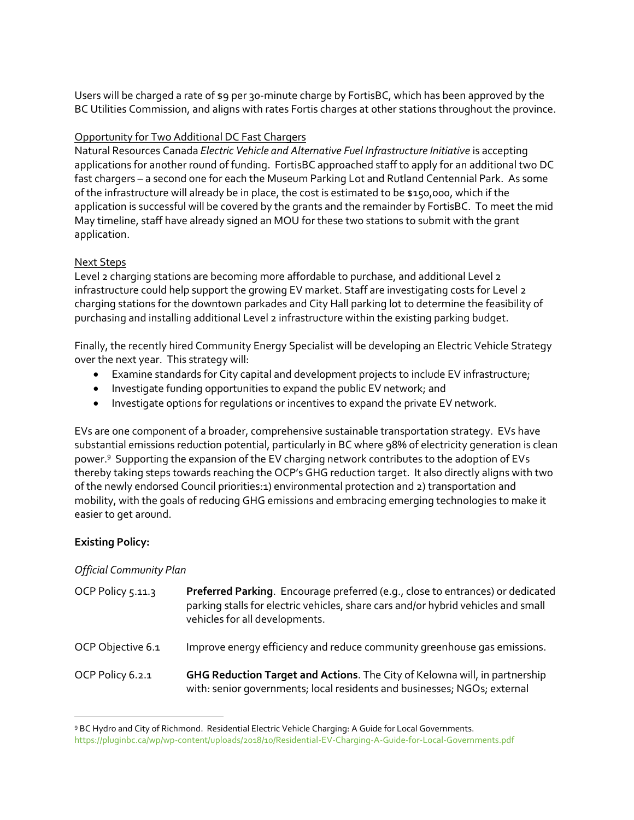Users will be charged a rate of \$9 per 30-minute charge by FortisBC, which has been approved by the BC Utilities Commission, and aligns with rates Fortis charges at other stations throughout the province.

## Opportunity for Two Additional DC Fast Chargers

Natural Resources Canada *Electric Vehicle and Alternative Fuel Infrastructure Initiative* is accepting applications for another round of funding. FortisBC approached staff to apply for an additional two DC fast chargers – a second one for each the Museum Parking Lot and Rutland Centennial Park. As some of the infrastructure will already be in place, the cost is estimated to be \$150,000, which if the application is successful will be covered by the grants and the remainder by FortisBC. To meet the mid May timeline, staff have already signed an MOU for these two stations to submit with the grant application.

## Next Steps

Level 2 charging stations are becoming more affordable to purchase, and additional Level 2 infrastructure could help support the growing EV market. Staff are investigating costs for Level 2 charging stations for the downtown parkades and City Hall parking lot to determine the feasibility of purchasing and installing additional Level 2 infrastructure within the existing parking budget.

Finally, the recently hired Community Energy Specialist will be developing an Electric Vehicle Strategy over the next year. This strategy will:

- Examine standards for City capital and development projects to include EV infrastructure;
- Investigate funding opportunities to expand the public EV network; and
- Investigate options for regulations or incentives to expand the private EV network.

EVs are one component of a broader, comprehensive sustainable transportation strategy. EVs have substantial emissions reduction potential, particularly in BC where 98% of electricity generation is clean power.<sup>9</sup> Supporting the expansion of the EV charging network contributes to the adoption of EVs thereby taking steps towards reaching the OCP's GHG reduction target. It also directly aligns with two of the newly endorsed Council priorities:1) environmental protection and 2) transportation and mobility, with the goals of reducing GHG emissions and embracing emerging technologies to make it easier to get around.

# **Existing Policy:**

 $\overline{\phantom{a}}$ 

# *Official Community Plan*

| OCP Policy 5.11.3 | Preferred Parking. Encourage preferred (e.g., close to entrances) or dedicated<br>parking stalls for electric vehicles, share cars and/or hybrid vehicles and small<br>vehicles for all developments. |
|-------------------|-------------------------------------------------------------------------------------------------------------------------------------------------------------------------------------------------------|
| OCP Objective 6.1 | Improve energy efficiency and reduce community greenhouse gas emissions.                                                                                                                              |
| OCP Policy 6.2.1  | GHG Reduction Target and Actions. The City of Kelowna will, in partnership<br>with: senior governments; local residents and businesses; NGOs; external                                                |

<sup>9</sup> BC Hydro and City of Richmond. Residential Electric Vehicle Charging: A Guide for Local Governments. <https://pluginbc.ca/wp/wp-content/uploads/2018/10/Residential-EV-Charging-A-Guide-for-Local-Governments.pdf>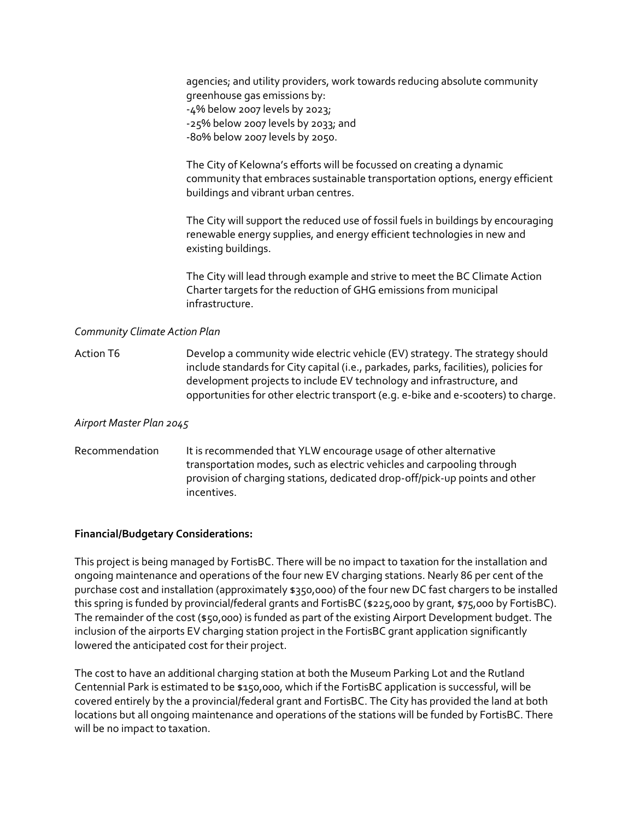agencies; and utility providers, work towards reducing absolute community greenhouse gas emissions by: -4% below 2007 levels by 2023; -25% below 2007 levels by 2033; and -80% below 2007 levels by 2050.

The City of Kelowna's efforts will be focussed on creating a dynamic community that embraces sustainable transportation options, energy efficient buildings and vibrant urban centres.

The City will support the reduced use of fossil fuels in buildings by encouraging renewable energy supplies, and energy efficient technologies in new and existing buildings.

The City will lead through example and strive to meet the BC Climate Action Charter targets for the reduction of GHG emissions from municipal infrastructure.

#### *Community Climate Action Plan*

Action T6 Develop a community wide electric vehicle (EV) strategy. The strategy should include standards for City capital (i.e., parkades, parks, facilities), policies for development projects to include EV technology and infrastructure, and opportunities for other electric transport (e.g. e-bike and e-scooters) to charge.

#### *Airport Master Plan 2045*

Recommendation It is recommended that YLW encourage usage of other alternative transportation modes, such as electric vehicles and carpooling through provision of charging stations, dedicated drop-off/pick-up points and other incentives.

#### **Financial/Budgetary Considerations:**

This project is being managed by FortisBC. There will be no impact to taxation for the installation and ongoing maintenance and operations of the four new EV charging stations. Nearly 86 per cent of the purchase cost and installation (approximately \$350,000) of the four new DC fast chargers to be installed this spring is funded by provincial/federal grants and FortisBC (\$225,000 by grant, \$75,000 by FortisBC). The remainder of the cost (\$50,000) is funded as part of the existing Airport Development budget. The inclusion of the airports EV charging station project in the FortisBC grant application significantly lowered the anticipated cost for their project.

The cost to have an additional charging station at both the Museum Parking Lot and the Rutland Centennial Park is estimated to be \$150,000, which if the FortisBC application is successful, will be covered entirely by the a provincial/federal grant and FortisBC. The City has provided the land at both locations but all ongoing maintenance and operations of the stations will be funded by FortisBC. There will be no impact to taxation.